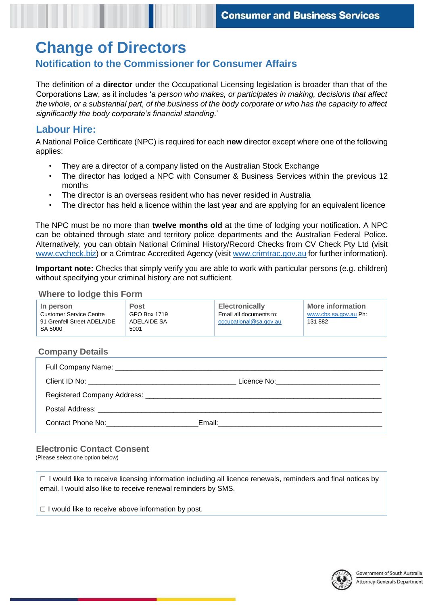# **Change of Directors**

## **Notification to the Commissioner for Consumer Affairs**

 The definition of a **director** under the Occupational Licensing legislation is broader than that of the Corporations Law, as it includes '*a person who makes, or participates in making, decisions that affect the whole, or a substantial part, of the business of the body corporate or who has the capacity to affect significantly the body corporate's financial standing*.'

# **Labour Hire:**

 A National Police Certificate (NPC) is required for each **new** director except where one of the following applies:

- They are a director of a company listed on the Australian Stock Exchange
- • The director has lodged a NPC with Consumer & Business Services within the previous 12 months
- The director is an overseas resident who has never resided in Australia
- The director has held a licence within the last year and are applying for an equivalent licence

 The NPC must be no more than **twelve months old** at the time of lodging your notification. A NPC can be obtained through state and territory police departments and the Australian Federal Police. Alternatively, you can obtain National Criminal History/Record Checks from CV Check Pty Ltd (visit [www.cvcheck.biz\)](http://www.cvcheck.biz/) or a Crimtrac Accredited Agency (visit [www.crimtrac.gov.au f](http://www.crimtrac.gov.au/)or further information).

 **Important note:** Checks that simply verify you are able to work with particular persons (e.g. children) without specifying your criminal history are not sufficient.

### **Where to lodge this Form**

| In person<br><b>Customer Service Centre</b><br>91 Grenfell Street ADELAIDE<br>SA 5000 | <b>Post</b><br>GPO Box 1719<br>ADELAIDE SA<br>5001 | <b>Electronically</b><br>Email all documents to:<br>occupational@sa.gov.au | <b>More information</b><br>www.cbs.sa.gov.au Ph:<br>131 882 |
|---------------------------------------------------------------------------------------|----------------------------------------------------|----------------------------------------------------------------------------|-------------------------------------------------------------|
|                                                                                       |                                                    |                                                                            |                                                             |

### **Company Details**

|                                         | Licence No: __________________________________ |
|-----------------------------------------|------------------------------------------------|
|                                         |                                                |
|                                         |                                                |
| Contact Phone No: The Contact Phone No: |                                                |

## **Electronic Contact Consent**

(Please select one option below)

 $\Box$  I would like to receive licensing information including all licence renewals, reminders and final notices by email. I would also like to receive renewal reminders by SMS.

 $\Box$  I would like to receive above information by post.

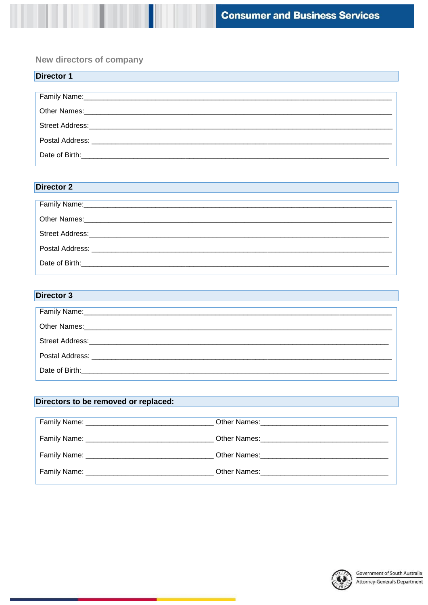New directors of company

| <b>Director 1</b>                                                                                              |
|----------------------------------------------------------------------------------------------------------------|
|                                                                                                                |
| Family Name: 2008 2010 2021 2022 2023 2024 2022 2022 2023 2024 2022 2023 2024 2022 2023 2024 2022 2023 2024 20 |
|                                                                                                                |
|                                                                                                                |
|                                                                                                                |
|                                                                                                                |

## **Director 2**

| Date of Birth: The Contract of Birth: The Contract of Birth: |  |
|--------------------------------------------------------------|--|
|                                                              |  |

## **Director 3**

## Directors to be removed or replaced: